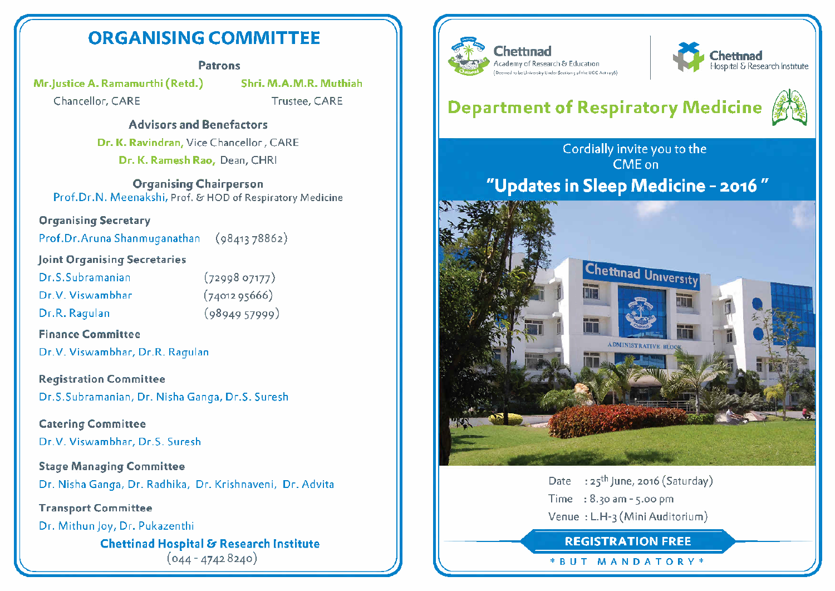# ORGANISING COMMITTEE

### Patrons

Mr.Justice A. Ramamurthi (Retd.) Shri. M.A.M.R. Muthiah

Chancellor, CARE Trustee, CARE

ff

### Advisors and Benefactors

Dr. K. Ravindran, Vice Chancellor, CARE Dr. K. Ramesh Rao, Dean, CHRI

Organising Chairperson Prof.Dr.N. Meenakshi, Prof. &• HOD of Respiratory Medicine

### Organising Secretary

Prof.Dr.Aruna Shanmuganathan (98413 78862)

### Joint Organising Secretaries

| Dr.S.Subramanian |  |
|------------------|--|
|                  |  |
|                  |  |

- Dr.V. Viswambhar (7401295666)
- 
- $(7299807177)$ Dr.R. Ragulan (9894957999)

### Finance Committee

Dr.V. Viswambhar, Dr.R. Ragulan

Registration Committee Dr.S.Subramanian, Dr. Nisha Ganga, Dr.S. Suresh

Catering Committee Dr.V. Viswambhar, Dr.S. Suresh

Stage Managing Committee Dr. Nisha Ganga, Dr. Radhika, Dr. Krishnaveni, Dr. Advita

Transport Committee

Dr. Mithun Joy, Dr. Pukazenthi Chettinad Hospital & Research Institute  $(044 - 47428240)$ 





# Department of Respiratory Medicine



Cordially invite you to the CMEon 'Updates in Sleep Medicine - 2016



Date :  $25^{th}$  June, 2016 (Saturday) Time : 8.30 am - 5.00 pm Venue : L.H-3 (Mini Auditorium)

REGISTRATION FREE

\* <sup>B</sup> <sup>U</sup> <sup>T</sup> MANDATORY